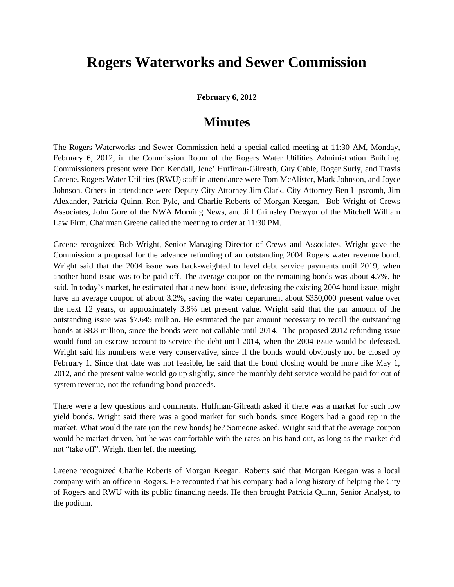## **Rogers Waterworks and Sewer Commission**

**February 6, 2012**

## **Minutes**

The Rogers Waterworks and Sewer Commission held a special called meeting at 11:30 AM, Monday, February 6, 2012, in the Commission Room of the Rogers Water Utilities Administration Building. Commissioners present were Don Kendall, Jene' Huffman-Gilreath, Guy Cable, Roger Surly, and Travis Greene. Rogers Water Utilities (RWU) staff in attendance were Tom McAlister, Mark Johnson, and Joyce Johnson. Others in attendance were Deputy City Attorney Jim Clark, City Attorney Ben Lipscomb, Jim Alexander, Patricia Quinn, Ron Pyle, and Charlie Roberts of Morgan Keegan, Bob Wright of Crews Associates, John Gore of the NWA Morning News, and Jill Grimsley Drewyor of the Mitchell William Law Firm. Chairman Greene called the meeting to order at 11:30 PM.

Greene recognized Bob Wright, Senior Managing Director of Crews and Associates. Wright gave the Commission a proposal for the advance refunding of an outstanding 2004 Rogers water revenue bond. Wright said that the 2004 issue was back-weighted to level debt service payments until 2019, when another bond issue was to be paid off. The average coupon on the remaining bonds was about 4.7%, he said. In today's market, he estimated that a new bond issue, defeasing the existing 2004 bond issue, might have an average coupon of about 3.2%, saving the water department about \$350,000 present value over the next 12 years, or approximately 3.8% net present value. Wright said that the par amount of the outstanding issue was \$7.645 million. He estimated the par amount necessary to recall the outstanding bonds at \$8.8 million, since the bonds were not callable until 2014. The proposed 2012 refunding issue would fund an escrow account to service the debt until 2014, when the 2004 issue would be defeased. Wright said his numbers were very conservative, since if the bonds would obviously not be closed by February 1. Since that date was not feasible, he said that the bond closing would be more like May 1, 2012, and the present value would go up slightly, since the monthly debt service would be paid for out of system revenue, not the refunding bond proceeds.

There were a few questions and comments. Huffman-Gilreath asked if there was a market for such low yield bonds. Wright said there was a good market for such bonds, since Rogers had a good rep in the market. What would the rate (on the new bonds) be? Someone asked. Wright said that the average coupon would be market driven, but he was comfortable with the rates on his hand out, as long as the market did not "take off". Wright then left the meeting.

Greene recognized Charlie Roberts of Morgan Keegan. Roberts said that Morgan Keegan was a local company with an office in Rogers. He recounted that his company had a long history of helping the City of Rogers and RWU with its public financing needs. He then brought Patricia Quinn, Senior Analyst, to the podium.